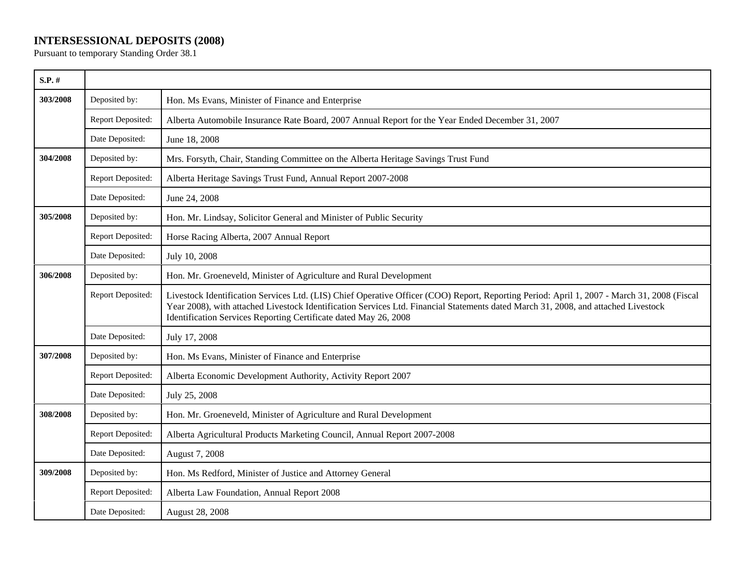## **INTERSESSIONAL DEPOSITS (2008)**

Pursuant to temporary Standing Order 38.1

| $S.P.$ # |                   |                                                                                                                                                                                                                                                                                                                                                       |
|----------|-------------------|-------------------------------------------------------------------------------------------------------------------------------------------------------------------------------------------------------------------------------------------------------------------------------------------------------------------------------------------------------|
| 303/2008 | Deposited by:     | Hon. Ms Evans, Minister of Finance and Enterprise                                                                                                                                                                                                                                                                                                     |
|          | Report Deposited: | Alberta Automobile Insurance Rate Board, 2007 Annual Report for the Year Ended December 31, 2007                                                                                                                                                                                                                                                      |
|          | Date Deposited:   | June 18, 2008                                                                                                                                                                                                                                                                                                                                         |
| 304/2008 | Deposited by:     | Mrs. Forsyth, Chair, Standing Committee on the Alberta Heritage Savings Trust Fund                                                                                                                                                                                                                                                                    |
|          | Report Deposited: | Alberta Heritage Savings Trust Fund, Annual Report 2007-2008                                                                                                                                                                                                                                                                                          |
|          | Date Deposited:   | June 24, 2008                                                                                                                                                                                                                                                                                                                                         |
| 305/2008 | Deposited by:     | Hon. Mr. Lindsay, Solicitor General and Minister of Public Security                                                                                                                                                                                                                                                                                   |
|          | Report Deposited: | Horse Racing Alberta, 2007 Annual Report                                                                                                                                                                                                                                                                                                              |
|          | Date Deposited:   | July 10, 2008                                                                                                                                                                                                                                                                                                                                         |
| 306/2008 | Deposited by:     | Hon. Mr. Groeneveld, Minister of Agriculture and Rural Development                                                                                                                                                                                                                                                                                    |
|          | Report Deposited: | Livestock Identification Services Ltd. (LIS) Chief Operative Officer (COO) Report, Reporting Period: April 1, 2007 - March 31, 2008 (Fiscal<br>Year 2008), with attached Livestock Identification Services Ltd. Financial Statements dated March 31, 2008, and attached Livestock<br>Identification Services Reporting Certificate dated May 26, 2008 |
|          | Date Deposited:   | July 17, 2008                                                                                                                                                                                                                                                                                                                                         |
| 307/2008 | Deposited by:     | Hon. Ms Evans, Minister of Finance and Enterprise                                                                                                                                                                                                                                                                                                     |
|          | Report Deposited: | Alberta Economic Development Authority, Activity Report 2007                                                                                                                                                                                                                                                                                          |
|          | Date Deposited:   | July 25, 2008                                                                                                                                                                                                                                                                                                                                         |
| 308/2008 | Deposited by:     | Hon. Mr. Groeneveld, Minister of Agriculture and Rural Development                                                                                                                                                                                                                                                                                    |
|          | Report Deposited: | Alberta Agricultural Products Marketing Council, Annual Report 2007-2008                                                                                                                                                                                                                                                                              |
|          | Date Deposited:   | August 7, 2008                                                                                                                                                                                                                                                                                                                                        |
| 309/2008 | Deposited by:     | Hon. Ms Redford, Minister of Justice and Attorney General                                                                                                                                                                                                                                                                                             |
|          | Report Deposited: | Alberta Law Foundation, Annual Report 2008                                                                                                                                                                                                                                                                                                            |
|          | Date Deposited:   | August 28, 2008                                                                                                                                                                                                                                                                                                                                       |